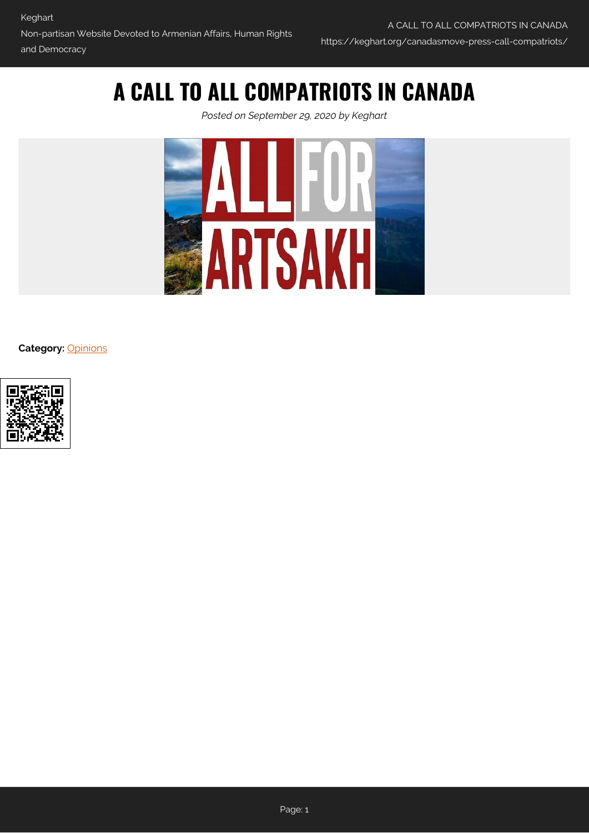## **A CALL TO ALL COMPATRIOTS IN CANADA**

*Posted on September 29, 2020 by Keghart*



**Category:** [Opinions](https://keghart.org/category/opinions/)

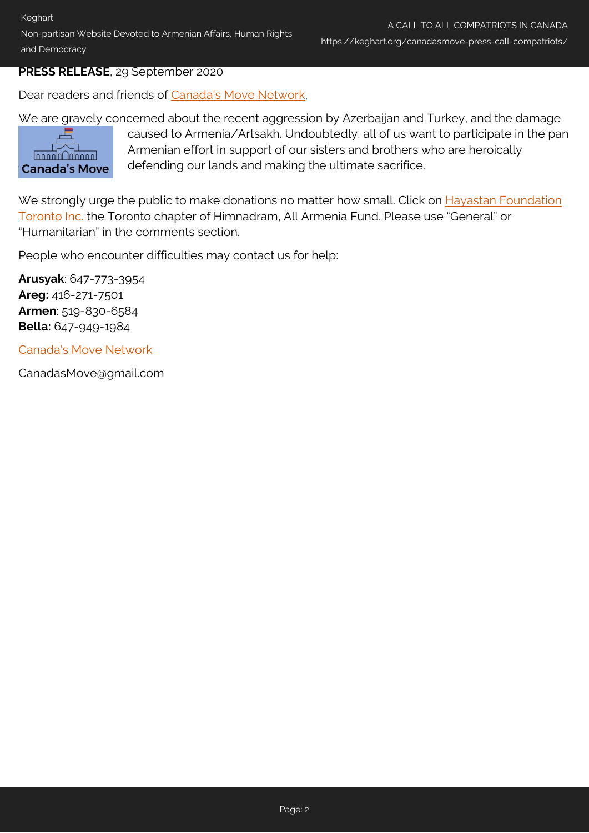Non-partisan Website Devoted to Armenian Affairs, Human Rights and Democracy

## **PRESS RELEASE**, 29 September 2020

Dear readers and friends of [Canada's Move Network](https://keghart.org/canadas-move-statement/),

We are gravely concerned about the recent aggression by Azerbaijan and Turkey, and the damage



caused to Armenia/Artsakh. Undoubtedly, all of us want to participate in the pan Armenian effort in support of our sisters and brothers who are heroically defending our lands and making the ultimate sacrifice.

We strongly urge the public to make donations no matter how small. Click on [Hayastan Foundation](https://www.canadahelps.org/en/charities/hayastan-foundation-toronto-inc/) [Toronto Inc.](https://www.canadahelps.org/en/charities/hayastan-foundation-toronto-inc/) the Toronto chapter of Himnadram, All Armenia Fund. Please use "General" or "Humanitarian" in the comments section.

People who encounter difficulties may contact us for help:

**Arusyak**: 647-773-3954 **Areg:** 416-271-7501 **Armen**: 519-830-6584 **Bella:** 647-949-1984

[Canada's Move Network](https://keghart.org/canadas-move-statement/)

CanadasMove@gmail.com